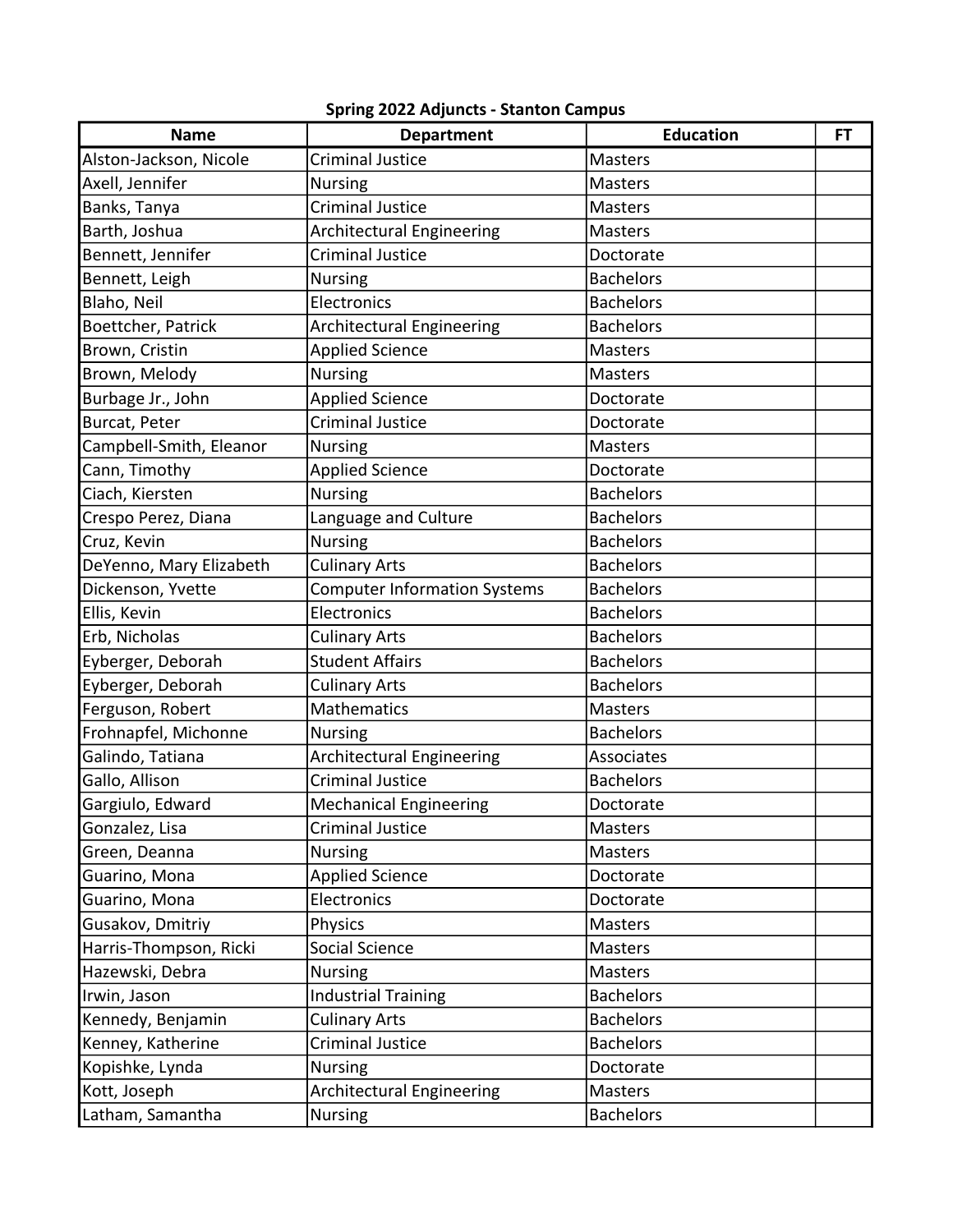## Spring 2022 Adjuncts - Stanton Campus

| <b>Name</b>             | <b>Department</b>                   | <b>Education</b> | <b>FT</b> |
|-------------------------|-------------------------------------|------------------|-----------|
| Alston-Jackson, Nicole  | <b>Criminal Justice</b>             | <b>Masters</b>   |           |
| Axell, Jennifer         | <b>Nursing</b>                      | <b>Masters</b>   |           |
| Banks, Tanya            | <b>Criminal Justice</b>             | <b>Masters</b>   |           |
| Barth, Joshua           | <b>Architectural Engineering</b>    | Masters          |           |
| Bennett, Jennifer       | <b>Criminal Justice</b>             | Doctorate        |           |
| Bennett, Leigh          | <b>Nursing</b>                      | <b>Bachelors</b> |           |
| Blaho, Neil             | Electronics                         | <b>Bachelors</b> |           |
| Boettcher, Patrick      | Architectural Engineering           | <b>Bachelors</b> |           |
| Brown, Cristin          | <b>Applied Science</b>              | <b>Masters</b>   |           |
| Brown, Melody           | <b>Nursing</b>                      | <b>Masters</b>   |           |
| Burbage Jr., John       | <b>Applied Science</b>              | Doctorate        |           |
| Burcat, Peter           | <b>Criminal Justice</b>             | Doctorate        |           |
| Campbell-Smith, Eleanor | <b>Nursing</b>                      | <b>Masters</b>   |           |
| Cann, Timothy           | <b>Applied Science</b>              | Doctorate        |           |
| Ciach, Kiersten         | <b>Nursing</b>                      | <b>Bachelors</b> |           |
| Crespo Perez, Diana     | Language and Culture                | <b>Bachelors</b> |           |
| Cruz, Kevin             | <b>Nursing</b>                      | <b>Bachelors</b> |           |
| DeYenno, Mary Elizabeth | <b>Culinary Arts</b>                | <b>Bachelors</b> |           |
| Dickenson, Yvette       | <b>Computer Information Systems</b> | <b>Bachelors</b> |           |
| Ellis, Kevin            | Electronics                         | <b>Bachelors</b> |           |
| Erb, Nicholas           | <b>Culinary Arts</b>                | <b>Bachelors</b> |           |
| Eyberger, Deborah       | <b>Student Affairs</b>              | <b>Bachelors</b> |           |
| Eyberger, Deborah       | <b>Culinary Arts</b>                | <b>Bachelors</b> |           |
| Ferguson, Robert        | <b>Mathematics</b>                  | <b>Masters</b>   |           |
| Frohnapfel, Michonne    | <b>Nursing</b>                      | <b>Bachelors</b> |           |
| Galindo, Tatiana        | <b>Architectural Engineering</b>    | Associates       |           |
| Gallo, Allison          | <b>Criminal Justice</b>             | <b>Bachelors</b> |           |
| Gargiulo, Edward        | <b>Mechanical Engineering</b>       | Doctorate        |           |
| Gonzalez, Lisa          | <b>Criminal Justice</b>             | Masters          |           |
| Green, Deanna           | Nursing                             | <b>Masters</b>   |           |
| Guarino, Mona           | <b>Applied Science</b>              | Doctorate        |           |
| Guarino, Mona           | Electronics                         | Doctorate        |           |
| Gusakov, Dmitriy        | Physics                             | Masters          |           |
| Harris-Thompson, Ricki  | Social Science                      | Masters          |           |
| Hazewski, Debra         | <b>Nursing</b>                      | Masters          |           |
| Irwin, Jason            | <b>Industrial Training</b>          | <b>Bachelors</b> |           |
| Kennedy, Benjamin       | <b>Culinary Arts</b>                | <b>Bachelors</b> |           |
| Kenney, Katherine       | Criminal Justice                    | <b>Bachelors</b> |           |
| Kopishke, Lynda         | <b>Nursing</b>                      | Doctorate        |           |
| Kott, Joseph            | Architectural Engineering           | Masters          |           |
| Latham, Samantha        | <b>Nursing</b>                      | <b>Bachelors</b> |           |